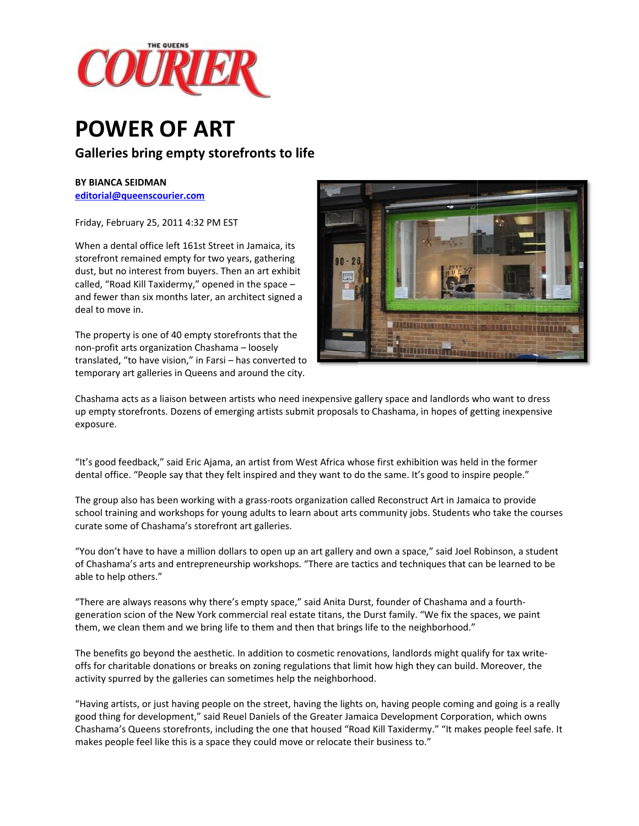

## **POW WER OF F ART**

## **Gallerie es bring em mpty store efronts to l life**

## **BY BIANCA A SEIDMAN**

**editorial@ @queenscourie er.com**

Friday, Feb bruary 25, 2011 1 4:32 PM EST

When a dental office left 161st Street in Jamaica, its storefront remained empty for two years, gathering dust, but no interest from buyers. Then an art exhibit called, "Road Kill Taxidermy," opened in the space – and fewer than six months later, an architect signed a deal to move in. t<br>a<br>to

The property is one of 40 empty storefronts that the non‐profit arts organizat ion Chashama – loosely translated, "to have vision," in Farsi – has converted temporary art galleries in Queens and around the city.



Chashama acts as a liaison between artists who need inexpensive gallery space and landlords who want to dress up empty storefronts. Dozens of emerging artists submit proposals to Chashama, in hopes of getting inexpensive exposure.

"It's good feedback," said Eric Ajama, an artist from West Africa whose first exhibition was held in the former dental office. "People say that they felt inspired and they want to do the same. It's good to inspire people."

The group also has been working with a grass-roots organization called Reconstruct Art in Jamaica to provide "It's good feedback," said Eric Ajama, an artist from West Africa whose first exhibition was held in the former<br>dental office. "People say that they felt inspired and they want to do the same. It's good to inspire people." curate some of Chashama's storefront art galleries.

"You don't have to have a million dollars to open up an art gallery and own a space," said Joel Robinson, a student of Chashama's arts and entrepreneurship workshops. "There are tactics and techniques that can be learned to be able to hel p others."

"There are always reasons why there's empty space," said Anita Durst, founder of Chashama and a fourthgeneration scion of the New York commercial real estate titans, the Durst family. "We fix the spaces, we paint them, we clean them and we bring life to them and then that brings life to the neighborhood." generation scion of the New York commercial real estate titans, the Durst family. "We fix the spaces, we paint<br>them, we clean them and we bring life to them and then that brings life to the neighborhood."<br>The benefits go b

offs for charitable donations or breaks on zoning regulations that limit how high they can build. Moreover, the activity spurred by the galleries can sometimes help the neighborhood.

"Having artists, or just having people on the street, having the lights on, having people coming and going is a really good thing for development," said Reuel Daniels of the Greater Jamaica Development Corporation, which owns Chashama's Queens storefronts, including the one that housed "Road Kill Taxidermy." "It makes people feel safe. It makes people feel like this is a space they could move or relocate their business to."